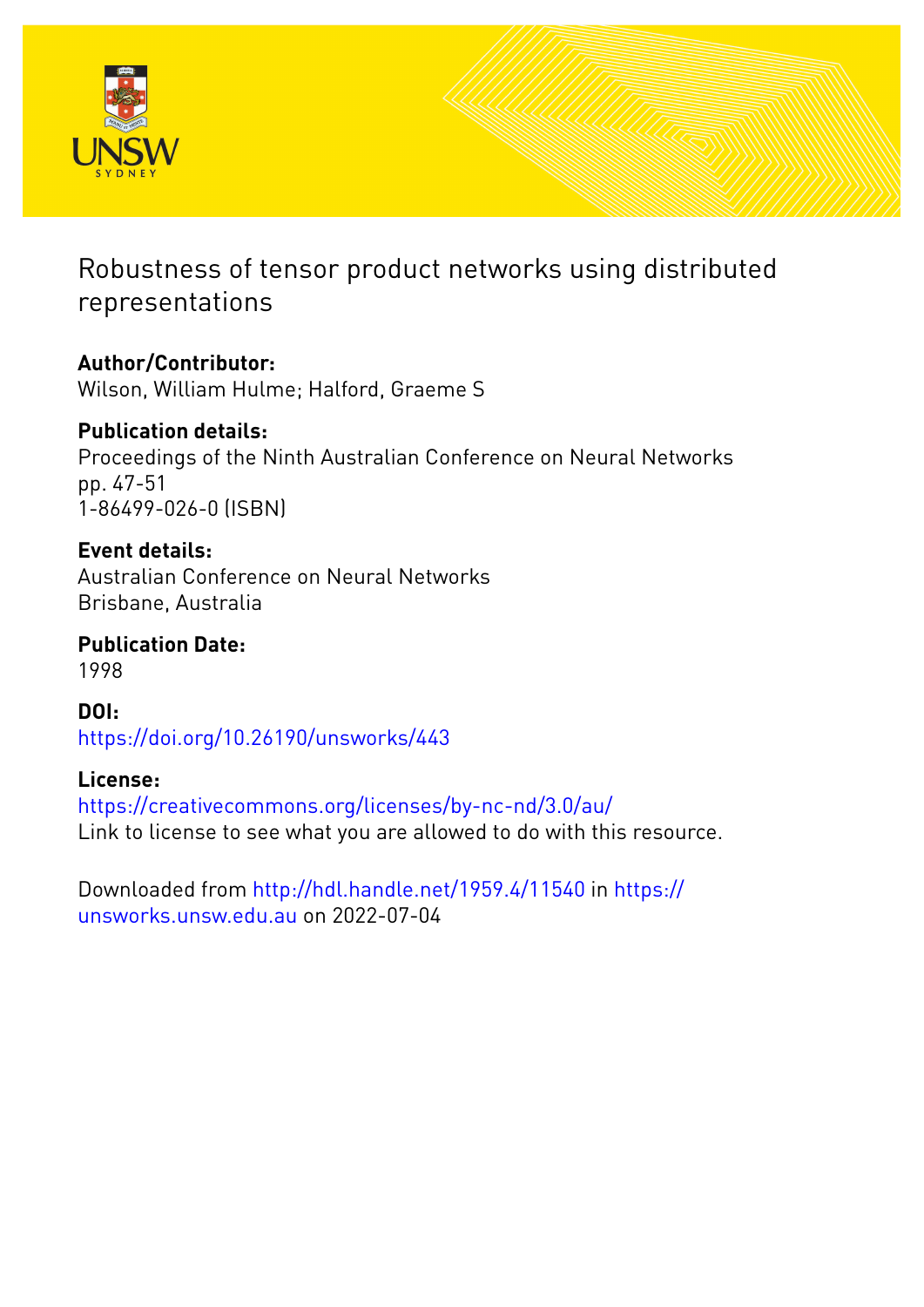

# Robustness of tensor product networks using distributed representations

**Author/Contributor:** Wilson, William Hulme; Halford, Graeme S

**Publication details:** Proceedings of the Ninth Australian Conference on Neural Networks pp. 47-51 1-86499-026-0 (ISBN)

**Event details:** Australian Conference on Neural Networks Brisbane, Australia

**Publication Date:** 1998

**DOI:** [https://doi.org/10.26190/unsworks/443](http://dx.doi.org/https://doi.org/10.26190/unsworks/443)

## **License:**

<https://creativecommons.org/licenses/by-nc-nd/3.0/au/> Link to license to see what you are allowed to do with this resource.

Downloaded from <http://hdl.handle.net/1959.4/11540> in [https://](https://unsworks.unsw.edu.au) [unsworks.unsw.edu.au](https://unsworks.unsw.edu.au) on 2022-07-04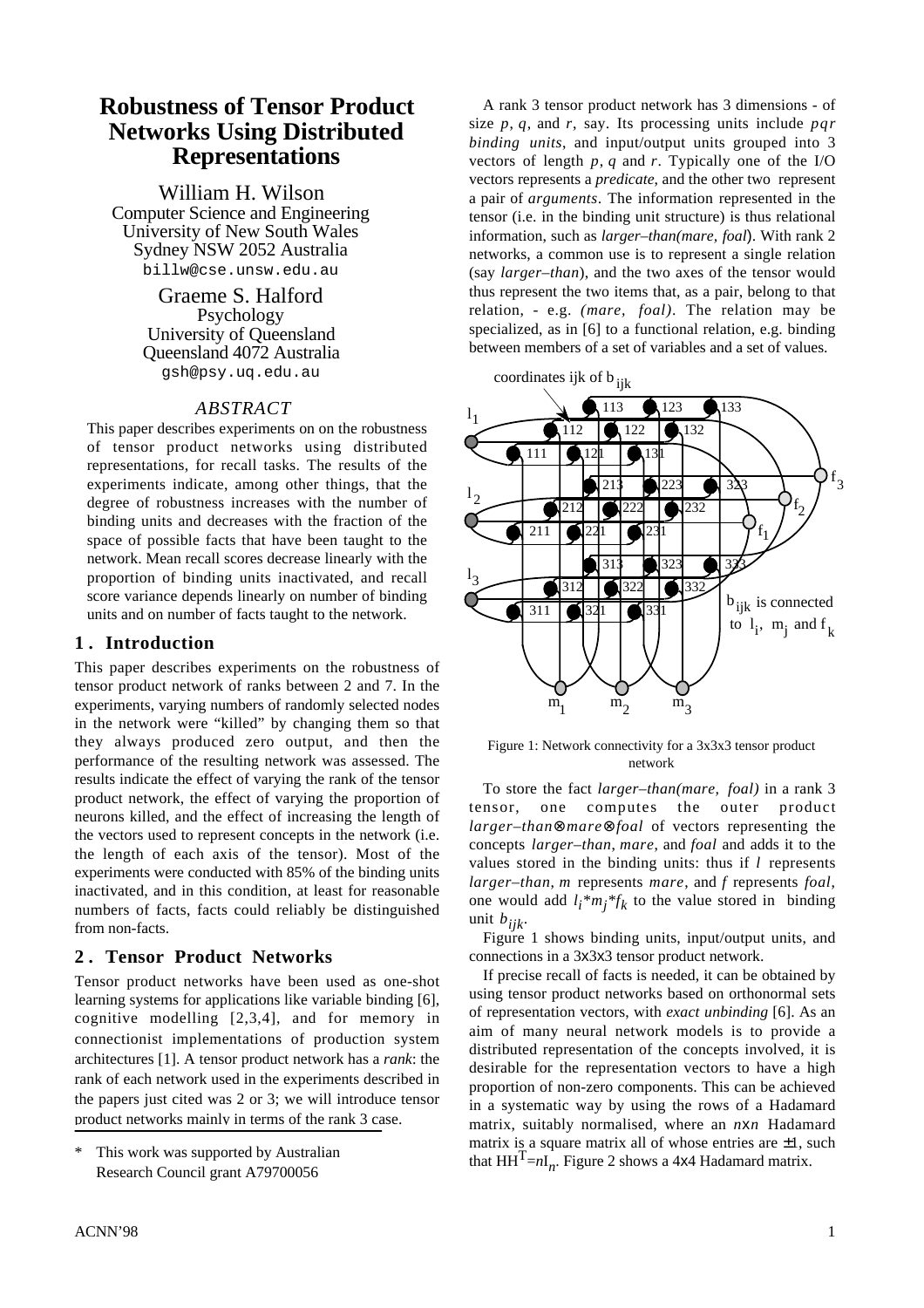gsh@psy.uq.edu.au

## *ABSTRACT*

This paper describes experiments on on the robustness of tensor product networks using distributed representations, for recall tasks. The results of the experiments indicate, among other things, that the degree of robustness increases with the number of binding units and decreases with the fraction of the space of possible facts that have been taught to the network. Mean recall scores decrease linearly with the proportion of binding units inactivated, and recall score variance depends linearly on number of binding units and on number of facts taught to the network.

## **1 . Introduction**

This paper describes experiments on the robustness of tensor product network of ranks between 2 and 7. In the experiments, varying numbers of randomly selected nodes in the network were "killed" by changing them so that they always produced zero output, and then the Figure 1: Network connectivity for a 3x3x3 tensor product performance of the resulting network was assessed. The network results indicate the effect of varying the rank of the tensor<br>product network, the effect of varying the proportion of<br>neurons killed, and the effect of increasing the length of<br>tensor, one computes the outer product<br>the v the length of each axis of the tensor). Most of the<br>experiments were conducted with 85% of the binding units<br>values stored in the binding units: thus if  $l$  represents<br>larger-than, m represents mare, and f represents foal inactivated, and in this condition, at least for reasonable numbers of facts, facts could reliably be distinguished *i* and *i* is condition, at reast for reasonable one would add  $l_i * m_j * f_k$  to the value stored in binding unit *bijk*. from non-facts.<br>
Figure 1 shows binding units, input/output units, and<br>
Figure 1 shows binding units, input/output units, and

learning systems for applications like variable binding [6],

**Robustness of Tensor Product** A rank 3 tensor product network has 3 dimensions - of<br> **Robustness Islam Rights**  $\overline{P}$  **Robustness**  $\overline{P}$  and  $\overline{P}$ ,  $\overline{q}$ , and  $\overline{q}$ , say. Its processing units include *par* **Networks Using Distributed** Size p, q, and r, say. Its processing units include pqr binding units, and input/output units grouped into 3<br>**Representations** exters of length p, q and r. Typically one of the I/O vectors represents a *predicate*, and the other two represent William H. Wilson a pair of *arguments*. The information represented in the Computer Science and Engineering tensor (i.e. in the binding unit structure) is thus relational Computer Science and Engineering tensor (i.e. in the binding unit structure) is thus relational<br>University of New South Wales information, such as *larger-than(mare, foal*) With rank 2 University of New South Wales information, such as *larger–than(mare, foal*). With rank 2<br>Sydney NSW 2052 Australia expansion interverse a common use is to represent a single relation Sydney NSW 2052 Australia networks, a common use is to represent a single relation<br>billw@cse.unsw.edu.au (say *larger-than*) and the two axes of the tensor would (say *larger–than*), and the two axes of the tensor would Graeme S. Halford thus represent the two items that, as a pair, belong to that Psychology relation, - e.g. *(mare, foal)*. The relation may be relation, - e.g. *(mare, foal)*. The relation may be University of Queensland specialized, as in [6] to a functional relation, e.g. binding Queensland 4072 Australia between members of a set of variables and a set of values.





**2. Tensor Product Networks** connections in a 3x3x3 tensor product network.

Tensor product networks have been used as one-shot<br>learning systems for applications like variable binding [6] using tensor product networks based on orthonormal sets of representation vectors, with *exact unbinding* [6]. As an cognitive modelling [2,3,4], and for memory in aim of many neural network models is to provide a connectionist implementations of production system and of many neural network models is to provide a connectionist implementations of production system distributed representation of the concepts involved, it is architectures [1]. A tensor product network has a *rank*: the desirable for the representation vectors to have a high rank of each network used in the experiments described in rank of each network used in the experiments described in proportion of non-zero components. This can be achieved<br>the papers just cited was 2 or 3; we will introduce tensor in a systematic way by using the now of a Hedeman the papers just cited was 2 or 3; we will introduce tensor in a systematic way by using the rows of a Hadamard product networks mainly in terms of the rank 3 case. matrix, suitably normalised, where an  $n \times n$  Hadamard <sup>\*</sup> This work was supported by Australian matrix is a square matrix all of whose entries are  $\pm 1$ , such that  $HH<sup>T</sup>=nI<sub>n</sub>$ . Figure 2 shows a 4x4 Hadamard matrix.

Research Council grant A79700056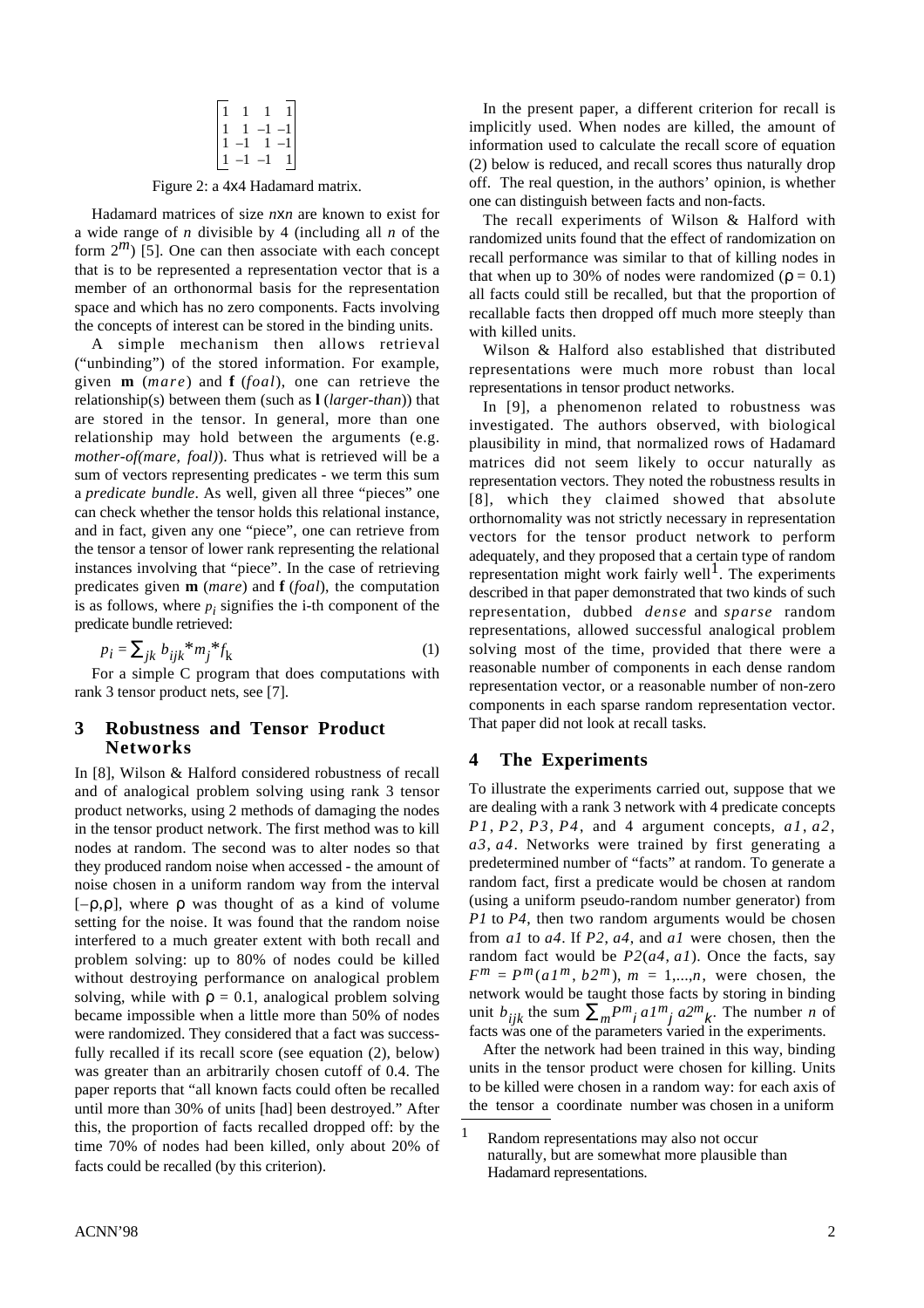$$
\begin{bmatrix} 1 & 1 & 1 & 1 \\ 1 & 1 & -1 & -1 \\ 1 & -1 & 1 & -1 \\ 1 & -1 & -1 & 1 \end{bmatrix}
$$

Hadamard matrices of size *nxn* are known to exist for The recall experiments of Wilson & Halford with

the concepts of interest can be stored in the binding units.<br>A simple mechanism then allows retrieval  $\frac{W_i}{W_i}$ ("unbinding") of the stored information. For example, representations were much more robust than local given **m** (*mare*) and **f** (*foal*), one can retrieve the representations in tensor product networks.<br>relationship(s) between them (such as  $\frac{1(\text{larger-} than)}{\ln 100}$ ) that relationship(s) between them (such as **l** (*larger-than*)) that In [9], a phenomenon related to robustness was are stored in the tensor. In general, more than one investigated. The outbox observed with higherical relationship may hold between the arguments (e.g. plausibility in mind, that normalized rows of Hadamard mother-of(mare, foal)). Thus what is retrieved will be a mother services did not seem likely to eccur notwelly as *mother-of(mare, foal)*). Thus what is retrieved will be a matrices did not seem likely to occur naturally as sum of vectors representing predicates - we term this sum corresponded to reputate in sum of vectors representing predicates - we term this sum<br>a predicate bundle. As well, given all three "pieces" one<br> $\begin{array}{c} \text{representation vectors. They noted the robustness results in} \\ \text{representation vectors. They noted the robustness results in} \end{array}$ a *predicate bundle*. As well, given all three "pieces" one [8], which they claimed showed that absolute can check whether the tensor holds this relational instance, expression of strictly people in representation and in fact, given any one "piece", one can retrieve from vectors for the tensor product network to perform<br>the tensor product network to perform<br>and vectors for the tensor product network to perform instances involving that "piece". In the case of retrieving predicates given **m** (*mare*) and **f** (*foal*), the computation described in that paper demonstrated that two kinds of such is as follows, where  $p_i$  signifies the i-th component of the predicate bundle retrieved:

$$
p_i = \sum_{jk} b_{ijk}^* m_j^* f_k \tag{1}
$$

## That paper did not look at recall tasks. **3 Robustness and Tensor Product Networks <sup>4</sup> The Experiments**

In [8], Wilson & Halford considered robustness of recall nodes at random. The second was to alter nodes so that problem solving: up to 80% of nodes could be killed were randomized. They considered that a fact was success-<br>facts was one of the parameters varied in the experiments.<br>fully recalled if its recall score (see equation (2) below) After the network had been trained in this wa fully recalled if its recall score (see equation  $(2)$ , below) paper reports that "all known facts could often be recalled until more than 30% of units [had] been destroyed." After the tensor a coordinate number was chosen in a uniform this, the proportion of facts recalled dropped off: by the  $\frac{1}{1}$  Random representations may also not occur time 70% of nodes had been killed, only about 20% of naturally, but are somewhat more plausible than facts could be recalled (by this criterion). Hadamard representations.

In the present paper, a different criterion for recall is implicitly used. When nodes are killed, the amount of information used to calculate the recall score of equation (2) below is reduced, and recall scores thus naturally drop Figure 2: a 4x4 Hadamard matrix. off. The real question, in the authors' opinion, is whether one can distinguish between facts and non-facts.

a wide range of *n* divisible by 4 (including all *n* of the randomized units found that the effect of randomization on form  $2^m$ ) [5]. One can then associate with each concept recall performance was similar to that of killing nodes in that is to be represented a representation vector that is a that when ye to  $20^{\circ}$  of nodes were repre that is to be represented a representation vector that is a that when up to 30% of nodes were randomized ( $\rho = 0.1$ ) member of an orthonormal basis for the representation all facts availability be resolted but that the re member of an orthonormal basis for the representation all facts could still be recalled, but that the proportion of space and which has no zero components. Facts involving recalled facts then drapped off much more steeply recallable facts then dropped off much more steeply than

Wilson & Halford also established that distributed

investigated. The authors observed, with biological orthornomality was not strictly necessary in representation a dequately, and they proposed that a certain type of random representation might work fairly well<sup>1</sup>. The experiments representation, dubbed *dense* and *sparse* random representations, allowed successful analogical problem solving most of the time, provided that there were a For a simple C program that does computations with reasonable number of components in each dense random representation vector, or a reasonable number of non-zero rank 3 tensor product nets, see [7]. components in each sparse random representation vector.

and of analogical problem solving using rank 3 tensor To illustrate the experiments carried out, suppose that we product networks, using 2 methods of damaging the nodes are dealing with a rank 3 network with 4 predicate concepts in the tensor product network. The first method was to kill  $P1, P2, P3, P4$ , and 4 argument concepts,  $a1, a2$ , nodes at random. The second was to alter nodes so that  $a3, a4$ . Networks were trained by first generating a they produced random noise when accessed - the amount of predetermined number of "facts" at random. To generate a noise chosen in a uniform random way from the interval random fact, first a predicate would be chosen at random  $[-\rho, \rho]$ , where  $\rho$  was thought of as a kind of volume (using a uniform pseudo-random number generator) from setting for the noise. It was found that the random noise *P1* to *P4*, then two random arguments would be chosen interfered to a much greater extent with both recall and from al to  $a4$ . If *P2*,  $a4$ , and al were chosen interfered to a much greater extent with both recall and from  $aI$  to  $a4$ . If  $P2$ ,  $a4$ , and  $aI$  were chosen, then the problem solving: up to 80% of nodes could be killed random fact would be  $P2(a4, a1)$ . Once the facts without destroying performance on analogical problem  $F^m = P^m(a1^m, b2^m)$ ,  $m = 1,...,n$ , were chosen, the solving, while with  $\rho = 0.1$ , analogical problem solving network would be taught those facts by storing in binding became impossible when a little more than 50% of nodes unit  $b_{ijk}$  the sum  $\sum_m P^m{}_j aI^m{}_j a2^m{}_k$ . The number *n* of

was greater than an arbitrarily chosen cutoff of 0.4. The units in the tensor product were chosen for killing. Units paper reports that "all known facts could often be recalled to be killed were chosen in a random way: for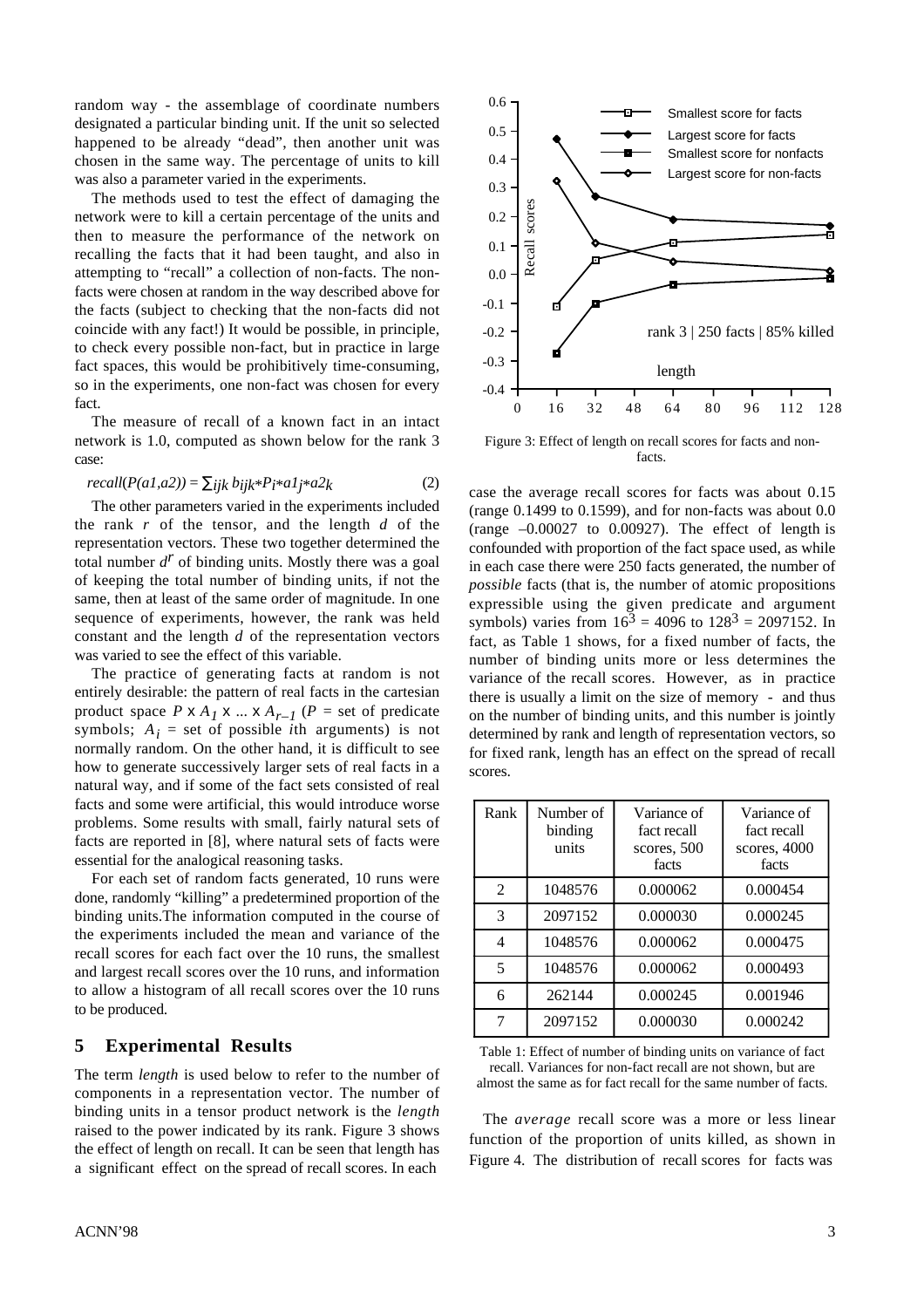random way - the assemblage of coordinate numbers designated a particular binding unit. If the unit so selected happened to be already "dead", then another unit was chosen in the same way. The percentage of units to kill was also a parameter varied in the experiments.

The methods used to test the effect of damaging the network were to kill a certain percentage of the units and then to measure the performance of the network on recalling the facts that it had been taught, and also in attempting to "recall" a collection of non-facts. The nonfacts were chosen at random in the way described above for the facts (subject to checking that the non-facts did not coincide with any fact!) It would be possible, in principle, to check every possible non-fact, but in practice in large fact spaces, this would be prohibitively time-consuming, so in the experiments, one non-fact was chosen for every fact.

The measure of recall of a known fact in an intact network is 1.0, computed as shown below for the rank 3 Figure 3: Effect of length on recall scores for facts and noncase: facts.

$$
ecall(P(a1,a2)) = \sum_{ijk} b_{ijk} * P_i * a1_j * a2_k
$$
 (2)

The other parameters varied in the experiments included (range 0.1499 to 0.1599), and for non-facts was about 0.0 the rank r of the tensor, and the length d of the  $(3.00027, 1.000027)$  The effect of length is the rank *r* of the tensor, and the length *d* of the  $(range -0.00027$  to 0.00927). The effect of length is representation vectors. These two together determined the confounded with proportion of the fact space used as while total number *d r* total number  $d'$  of binding units. Mostly there was a goal in each case there were 250 facts generated, the number of of keeping the total number of binding units, if not the number facts (that is the number of atomic pr of keeping the total number of binding units, if not the *possible* facts (that is, the number of atomic propositions same, then at least of the same order of magnitude. In one expressible using the given predicate and arg same, then at least of the same order of magnitude. In one expressible using the given predicate and argument sequence of experiments, however, the rank was held symbols) varies from  $16<sup>3</sup> - 4096$  to  $128<sup>3</sup> - 2097$ sequence of experiments, however, the rank was held symbols) varies from  $16<sup>3</sup> = 4096$  to  $128<sup>3</sup> = 2097152$ . In constant and the length d of the representation vectors fact as Table 1 shows for a fixed number of f constant and the length *d* of the representation vectors fact, as Table 1 shows, for a fixed number of facts, the was varied to see the effect of this variable.

product space  $P \times A_1 \times ... \times A_{r-1}$  ( $P =$  set of predicate symbols;  $A_i$  = set of possible *i*th arguments) is not normally random. On the other hand, it is difficult to see how to generate successively larger sets of real facts in a scores. natural way, and if some of the fact sets consisted of real facts and some were artificial, this would introduce worse problems. Some results with small, fairly natural sets of facts are reported in  $[8]$ , where natural sets of facts were essential for the analogical reasoning tasks.

For each set of random facts generated, 10 runs were done, randomly "killing" a predetermined proportion of the binding units. The information computed in the course of the experiments included the mean and variance of the recall scores for each fact over the 10 runs, the smallest and largest recall scores over the 10 runs, and information to allow a histogram of all recall scores over the 10 runs to be produced.

components in a representation vector. The number of binding units in a tensor product network is the *length* The *average* recall score was a more or less linear raised to the power indicated by its rank. Figure 3 shows raised to the power indicated by its rank. Figure 3 shows<br>tunction of the proportion of units killed, as shown in<br>Figure 4. The distribution of recall scores for facts was a significant effect on the spread of recall scores. In each



*recall*( $P(a1, a2)$ ) =  $\sum_{ijk} b_{ijk}$ \* $P_i$ \* $a1j$ \* $a2k$  (2) case the average recall scores for facts was about 0.15<br>The other parameters varied in the experiments included (range 0.1499 to 0.1599) and for non-facts was about 0 confounded with proportion of the fact space used, as while is varied to see the effect of this variable.<br>The practice of generating facts at random is not variance of the recall scores. However, as in practice The practice of generating facts at random is not<br>entirely desirable: the pattern of real facts in the cartesian<br>there is usually a limit on the size of memory and thus there is usually a limit on the size of memory - and thus on the number of binding units, and this number is jointly determined by rank and length of representation vectors, so for fixed rank, length has an effect on the spread of recall

| Rank           | Number of<br>binding<br>units | Variance of<br>fact recall<br>scores, 500<br>facts | Variance of<br>fact recall<br>scores, 4000<br>facts |
|----------------|-------------------------------|----------------------------------------------------|-----------------------------------------------------|
| $\overline{2}$ | 1048576                       | 0.000062                                           | 0.000454                                            |
| 3              | 2097152                       | 0.000030                                           | 0.000245                                            |
| $\overline{4}$ | 1048576                       | 0.000062                                           | 0.000475                                            |
| 5              | 1048576                       | 0.000062                                           | 0.000493                                            |
| 6              | 262144                        | 0.000245                                           | 0.001946                                            |
| 7              | 2097152                       | 0.000030                                           | 0.000242                                            |

**5 Experimental Results** Table 1: Effect of number of binding units on variance of fact The term *length* is used below to refer to the number of recall. Variances for non-fact recall are not shown, but are almost the same as for fact recall for the same number of facts.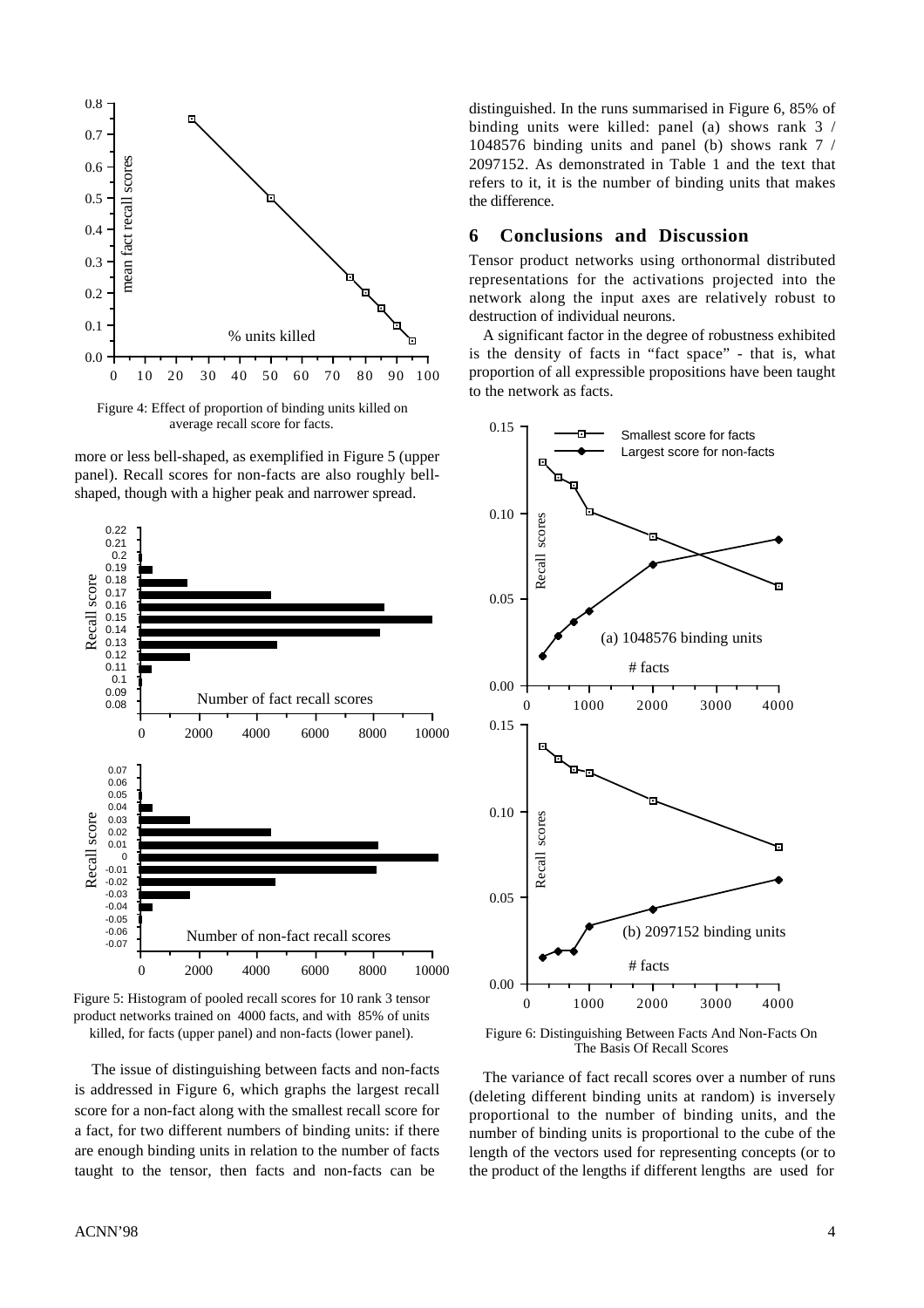

Figure 4: Effect of proportion of binding units killed on average recall score for facts.

more or less bell-shaped, as exemplified in Figure 5 (upper panel). Recall scores for non-facts are also roughly bellshaped, though with a higher peak and narrower spread.



Figure 5: Histogram of pooled recall scores for 10 rank 3 tensor product networks trained on 4000 facts, and with 85% of units killed, for facts (upper panel) and non-facts (lower panel). Figure 6: Distinguishing Between Facts And Non-Facts On

The issue of distinguishing between facts and non-facts The variance of fact recall scores over a number of runs

distinguished. In the runs summarised in Figure 6, 85% of binding units were killed: panel (a) shows rank 3 / 1048576 binding units and panel (b) shows rank 7 / 2097152. As demonstrated in Table 1 and the text that refers to it, it is the number of binding units that makes the difference.

### **6 Conclusions and Discussion**

Tensor product networks using orthonormal distributed representations for the activations projected into the network along the input axes are relatively robust to destruction of individual neurons.

A significant factor in the degree of robustness exhibited is the density of facts in "fact space" - that is, what proportion of all expressible propositions have been taught to the network as facts.



The Basis Of Recall Scores

is addressed in Figure 6, which graphs the largest recall (deleting different binding units at random) is inversely score for a non-fact along with the smallest recall score for proportional to the number of binding units, and the a fact, for two different numbers of binding units: if there number of binding units is proportional to the cube of the are enough binding units in relation to the number of facts length of the vectors used for representing concepts (or to taught to the tensor, then facts and non-facts can be the product of the lengths if different lengths are used for